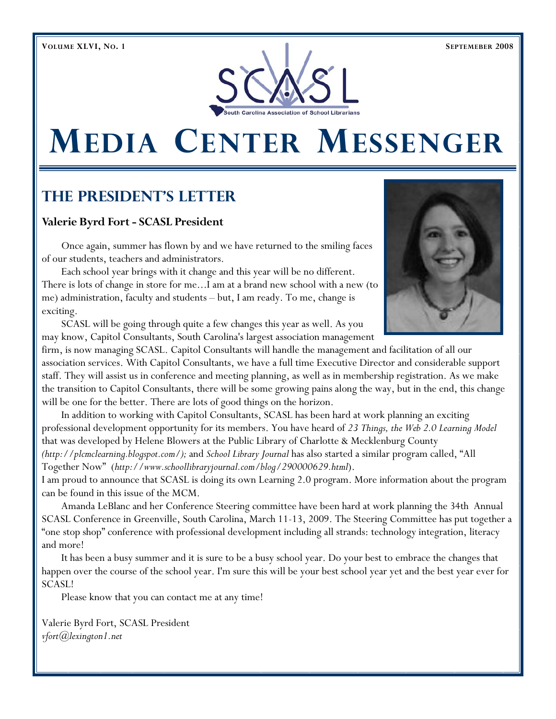

# **MEDIA CENTER MESSENGER**

## **The President's Letter**

## **Valerie Byrd Fort - SCASL President**

Once again, summer has flown by and we have returned to the smiling faces of our students, teachers and administrators.

 Each school year brings with it change and this year will be no different. There is lots of change in store for me...I am at a brand new school with a new (to me) administration, faculty and students – but, I am ready. To me, change is exciting.

 SCASL will be going through quite a few changes this year as well. As you may know, Capitol Consultants, South Carolina's largest association management

firm, is now managing SCASL. Capitol Consultants will handle the management and facilitation of all our association services. With Capitol Consultants, we have a full time Executive Director and considerable support staff. They will assist us in conference and meeting planning, as well as in membership registration. As we make the transition to Capitol Consultants, there will be some growing pains along the way, but in the end, this change will be one for the better. There are lots of good things on the horizon.

 In addition to working with Capitol Consultants, SCASL has been hard at work planning an exciting professional development opportunity for its members. You have heard of *23 Things, the Web 2.0 Learning Model*  that was developed by Helene Blowers at the Public Library of Charlotte & Mecklenburg County *(http://plcmclearning.blogspot.com/);* and *School Library Journal* has also started a similar program called, "All Together Now" (*http://www.schoollibraryjournal.com/blog/290000629.html*).

I am proud to announce that SCASL is doing its own Learning 2.0 program. More information about the program can be found in this issue of the MCM.

 Amanda LeBlanc and her Conference Steering committee have been hard at work planning the 34th Annual SCASL Conference in Greenville, South Carolina, March 11-13, 2009. The Steering Committee has put together a "one stop shop" conference with professional development including all strands: technology integration, literacy and more!

 It has been a busy summer and it is sure to be a busy school year. Do your best to embrace the changes that happen over the course of the school year. I'm sure this will be your best school year yet and the best year ever for SCASL!

Please know that you can contact me at any time!

Valerie Byrd Fort, SCASL President *vfort@lexington1.net*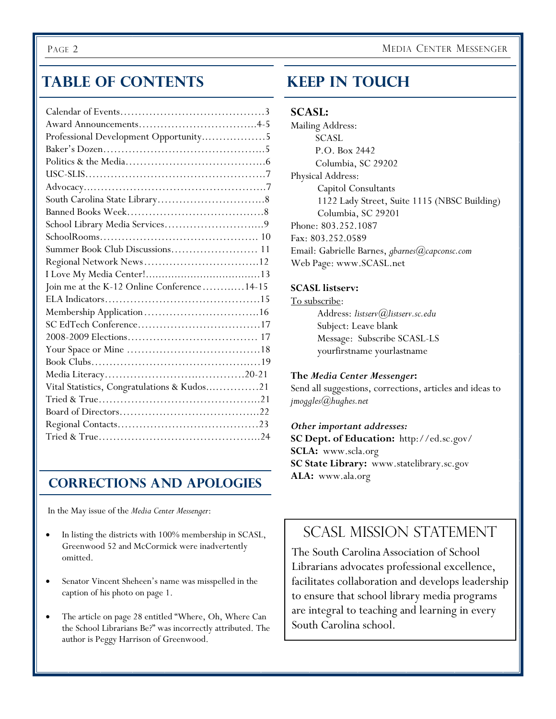## **Table of Contents**

| Professional Development Opportunity5        |
|----------------------------------------------|
|                                              |
|                                              |
|                                              |
|                                              |
|                                              |
|                                              |
|                                              |
|                                              |
| Summer Book Club Discussions 11              |
|                                              |
|                                              |
| Join me at the K-12 Online Conference  14-15 |
|                                              |
|                                              |
|                                              |
|                                              |
|                                              |
|                                              |
|                                              |
| Vital Statistics, Congratulations & Kudos21  |
|                                              |
|                                              |
|                                              |
|                                              |

## **Corrections and Apologies**

In the May issue of the *Media Center Messenger*:

- In listing the districts with 100% membership in SCASL, Greenwood 52 and McCormick were inadvertently omitted.
- Senator Vincent Sheheen's name was misspelled in the caption of his photo on page 1.
- The article on page 28 entitled "Where, Oh, Where Can the School Librarians Be?" was incorrectly attributed. The author is Peggy Harrison of Greenwood.

## **Keep In Touch**

## **SCASL:**

Mailing Address: SCASL P.O. Box 2442 Columbia, SC 29202 Physical Address: Capitol Consultants 1122 Lady Street, Suite 1115 (NBSC Building) Columbia, SC 29201 Phone: 803.252.1087 Fax: 803.252.0589 Email: Gabrielle Barnes, *gbarnes@capconsc.com* Web Page: www.SCASL.net

## **SCASL listserv:**

## To subscribe:

 Address: *listserv@listserv.sc.edu* Subject: Leave blank Message: Subscribe SCASL-LS yourfirstname yourlastname

## **The** *Media Center Messenger***:**

Send all suggestions, corrections, articles and ideas to *jmoggles@hughes.net* 

## *Other important addresses:*

**SC Dept. of Education:** http://ed.sc.gov/ **SCLA:** www.scla.org **SC State Library:** www.statelibrary.sc.gov **ALA:** www.ala.org

## SCASL MISSION STATEMENT

The South Carolina Association of School Librarians advocates professional excellence, facilitates collaboration and develops leadership to ensure that school library media programs are integral to teaching and learning in every South Carolina school.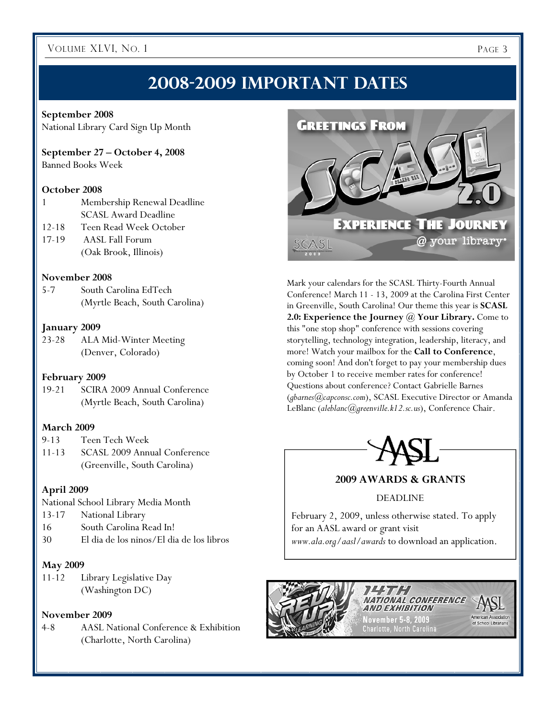## **2008-2009 Important Dates**

#### **September 2008**

National Library Card Sign Up Month

### **September 27 – October 4, 2008**

Banned Books Week

## **October 2008**

- 1 Membership Renewal Deadline SCASL Award Deadline
- 12-18 Teen Read Week October
- 17-19 AASL Fall Forum (Oak Brook, Illinois)

## **November 2008**

5-7 South Carolina EdTech (Myrtle Beach, South Carolina)

### **January 2009**

23-28 ALA Mid-Winter Meeting (Denver, Colorado)

#### **February 2009**

19-21 SCIRA 2009 Annual Conference (Myrtle Beach, South Carolina)

## **March 2009**

9-13 Teen Tech Week 11-13 SCASL 2009 Annual Conference (Greenville, South Carolina)

## **April 2009**

National School Library Media Month

- 13-17 National Library
- 16 South Carolina Read In!
- 30 El dia de los ninos/El dia de los libros

## **May 2009**

11-12 Library Legislative Day (Washington DC)

### **November 2009**

4-8 AASL National Conference & Exhibition (Charlotte, North Carolina)



Mark your calendars for the SCASL Thirty-Fourth Annual Conference! March 11 - 13, 2009 at the Carolina First Center in Greenville, South Carolina! Our theme this year is **SCASL 2.0: Experience the Journey @ Your Library.** Come to this "one stop shop" conference with sessions covering storytelling, technology integration, leadership, literacy, and more! Watch your mailbox for the **Call to Conference**, coming soon! And don't forget to pay your membership dues by October 1 to receive member rates for conference! Questions about conference? Contact Gabrielle Barnes (*gbarnes@capconsc.com*), SCASL Executive Director or Amanda LeBlanc (*aleblanc@greenville.k12.sc.us*), Conference Chair.



## **2009 AWARDS & GRANTS**

#### DEADLINE

February 2, 2009, unless otherwise stated. To apply for an AASL award or grant visit *www.ala.org/aasl/awards* to download an application.

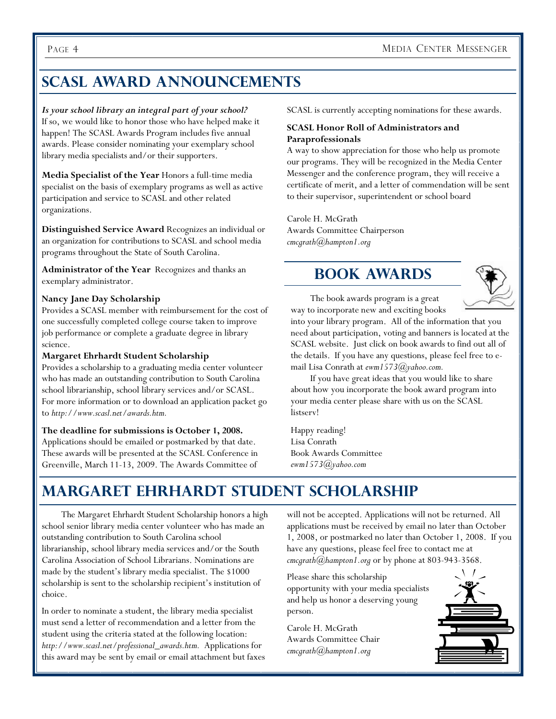## **SCASL Award Announcements**

*Is your school library an integral part of your school?*  If so, we would like to honor those who have helped make it happen! The SCASL Awards Program includes five annual awards. Please consider nominating your exemplary school library media specialists and/or their supporters.

**Media Specialist of the Year** Honors a full-time media specialist on the basis of exemplary programs as well as active participation and service to SCASL and other related organizations.

**Distinguished Service Award** Recognizes an individual or an organization for contributions to SCASL and school media programs throughout the State of South Carolina.

**Administrator of the Year** Recognizes and thanks an exemplary administrator.

## **Nancy Jane Day Scholarship**

Provides a SCASL member with reimbursement for the cost of one successfully completed college course taken to improve job performance or complete a graduate degree in library science.

#### **Margaret Ehrhardt Student Scholarship**

Provides a scholarship to a graduating media center volunteer who has made an outstanding contribution to South Carolina school librarianship, school library services and/or SCASL. For more information or to download an application packet go to *http://www.scasl.net/awards.htm.* 

#### **The deadline for submissions is October 1, 2008.**

Applications should be emailed or postmarked by that date. These awards will be presented at the SCASL Conference in Greenville, March 11-13, 2009. The Awards Committee of SCASL is currently accepting nominations for these awards.

#### **SCASL Honor Roll of Administrators and Paraprofessionals**

A way to show appreciation for those who help us promote our programs. They will be recognized in the Media Center Messenger and the conference program, they will receive a certificate of merit, and a letter of commendation will be sent to their supervisor, superintendent or school board

Carole H. McGrath Awards Committee Chairperson *cmcgrath@hampton1.org*

## **Book Awards**



 The book awards program is a great way to incorporate new and exciting books

into your library program. All of the information that you need about participation, voting and banners is located at the SCASL website. Just click on book awards to find out all of the details. If you have any questions, please feel free to email Lisa Conrath at *ewm1573@yahoo.com.*

 If you have great ideas that you would like to share about how you incorporate the book award program into your media center please share with us on the SCASL listserv!

Happy reading! Lisa Conrath Book Awards Committee *ewm1573@yahoo.com* 

## **Margaret Ehrhardt Student Scholarship**

 The Margaret Ehrhardt Student Scholarship honors a high school senior library media center volunteer who has made an outstanding contribution to South Carolina school librarianship, school library media services and/or the South Carolina Association of School Librarians. Nominations are made by the student's library media specialist. The \$1000 scholarship is sent to the scholarship recipient's institution of choice.

In order to nominate a student, the library media specialist must send a letter of recommendation and a letter from the student using the criteria stated at the following location: *http://www.scasl.net/professional\_awards.htm.* Applications for this award may be sent by email or email attachment but faxes will not be accepted. Applications will not be returned. All applications must be received by email no later than October 1, 2008, or postmarked no later than October 1, 2008. If you have any questions, please feel free to contact me at *cmcgrath@hampton1.org* or by phone at 803-943-3568.

Please share this scholarship opportunity with your media specialists and help us honor a deserving young person.

Carole H. McGrath Awards Committee Chair *cmcgrath@hampton1.org* 

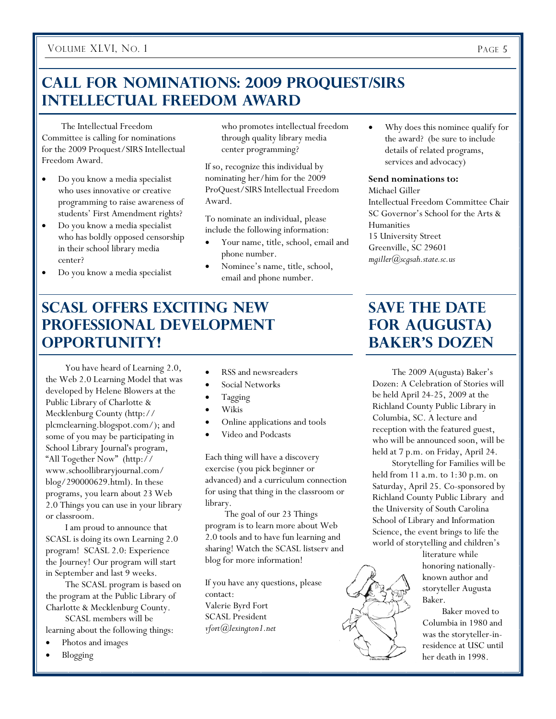## **Call for Nominations: 2009 ProQuest/SIRS Intellectual Freedom Award**

 The Intellectual Freedom Committee is calling for nominations for the 2009 Proquest/SIRS Intellectual Freedom Award.

- Do you know a media specialist who uses innovative or creative programming to raise awareness of students' First Amendment rights?
- Do you know a media specialist who has boldly opposed censorship in their school library media center?
- Do you know a media specialist

who promotes intellectual freedom through quality library media center programming?

If so, recognize this individual by nominating her/him for the 2009 ProQuest/SIRS Intellectual Freedom Award.

To nominate an individual, please include the following information:

- Your name, title, school, email and phone number.
- Nominee's name, title, school, email and phone number.

## **SCASL Offers Exciting New Professional Development Opportunity!**

 You have heard of Learning 2.0, the Web 2.0 Learning Model that was developed by Helene Blowers at the Public Library of Charlotte & Mecklenburg County (http:// plcmclearning.blogspot.com/); and some of you may be participating in School Library Journal's program, "All Together Now" (http:// www.schoollibraryjournal.com/ blog/290000629.html). In these programs, you learn about 23 Web 2.0 Things you can use in your library or classroom.

 I am proud to announce that SCASL is doing its own Learning 2.0 program! SCASL 2.0: Experience the Journey! Our program will start in September and last 9 weeks.

 The SCASL program is based on the program at the Public Library of Charlotte & Mecklenburg County.

 SCASL members will be learning about the following things:

- Photos and images
- Blogging
- RSS and newsreaders
- Social Networks
- Tagging
- Wikis
- Online applications and tools
- Video and Podcasts

Each thing will have a discovery exercise (you pick beginner or advanced) and a curriculum connection for using that thing in the classroom or library.

 The goal of our 23 Things program is to learn more about Web 2.0 tools and to have fun learning and sharing! Watch the SCASL listserv and blog for more information!

If you have any questions, please contact: Valerie Byrd Fort SCASL President *vfort@lexington1.net* 

• Why does this nominee qualify for the award? (be sure to include details of related programs, services and advocacy)

#### **Send nominations to:**

Michael Giller Intellectual Freedom Committee Chair SC Governor's School for the Arts & Humanities 15 University Street Greenville, SC 29601 *mgiller@scgsah.state.sc.us* 

## **Save the Date for A(ugusta) Baker's Dozen**

 The 2009 A(ugusta) Baker's Dozen: A Celebration of Stories will be held April 24-25, 2009 at the Richland County Public Library in Columbia, SC. A lecture and reception with the featured guest, who will be announced soon, will be held at 7 p.m. on Friday, April 24.

 Storytelling for Families will be held from 11 a.m. to 1:30 p.m. on Saturday, April 25. Co-sponsored by Richland County Public Library and the University of South Carolina School of Library and Information Science, the event brings to life the world of storytelling and children's

> literature while honoring nationallyknown author and storyteller Augusta Baker.

 Baker moved to Columbia in 1980 and was the storyteller-inresidence at USC until her death in 1998.

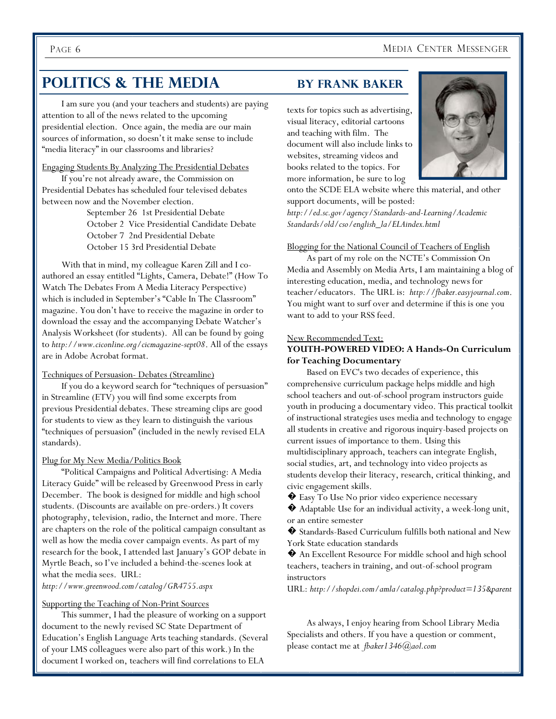## PAGE 6 MEDIA CENTER MESSENGER

## **POLITICS & THE MEDIA BY FRANK BAKER**

 I am sure you (and your teachers and students) are paying attention to all of the news related to the upcoming presidential election. Once again, the media are our main sources of information, so doesn't it make sense to include "media literacy" in our classrooms and libraries?

Engaging Students By Analyzing The Presidential Debates If you're not already aware, the Commission on Presidential Debates has scheduled four televised debates between now and the November election.

> September 26 1st Presidential Debate October 2 Vice Presidential Candidate Debate October 7 2nd Presidential Debate October 15 3rd Presidential Debate

With that in mind, my colleague Karen Zill and I coauthored an essay entitled "Lights, Camera, Debate!" (How To Watch The Debates From A Media Literacy Perspective) which is included in September's "Cable In The Classroom" magazine. You don't have to receive the magazine in order to download the essay and the accompanying Debate Watcher's Analysis Worksheet (for students). All can be found by going to *http://www.ciconline.org/cicmagazine-sept08*. All of the essays are in Adobe Acrobat format.

#### Techniques of Persuasion- Debates (Streamline)

 If you do a keyword search for "techniques of persuasion" in Streamline (ETV) you will find some excerpts from previous Presidential debates. These streaming clips are good for students to view as they learn to distinguish the various "techniques of persuasion" (included in the newly revised ELA standards).

#### Plug for My New Media/Politics Book

 "Political Campaigns and Political Advertising: A Media Literacy Guide" will be released by Greenwood Press in early December. The book is designed for middle and high school students. (Discounts are available on pre-orders.) It covers photography, television, radio, the Internet and more. There are chapters on the role of the political campaign consultant as well as how the media cover campaign events. As part of my research for the book, I attended last January's GOP debate in Myrtle Beach, so I've included a behind-the-scenes look at what the media sees. URL:

*http://www.greenwood.com/catalog/GR4755.aspx*

#### Supporting the Teaching of Non-Print Sources

 This summer, I had the pleasure of working on a support document to the newly revised SC State Department of Education's English Language Arts teaching standards. (Several of your LMS colleagues were also part of this work.) In the document I worked on, teachers will find correlations to ELA

texts for topics such as advertising, visual literacy, editorial cartoons and teaching with film. The document will also include links to websites, streaming videos and books related to the topics. For more information, be sure to log



onto the SCDE ELA website where this material, and other support documents, will be posted:

*http://ed.sc.gov/agency/Standards-and-Learning/Academic Standards/old/cso/english\_la/ELAindex.html*

Blogging for the National Council of Teachers of English

 As part of my role on the NCTE's Commission On Media and Assembly on Media Arts, I am maintaining a blog of interesting education, media, and technology news for teacher/educators. The URL is: *http://fbaker.easyjournal.com*. You might want to surf over and determine if this is one you want to add to your RSS feed.

#### New Recommended Text:

#### **YOUTH-POWERED VIDEO: A Hands-On Curriculum for Teaching Documentary**

 Based on EVC's two decades of experience, this comprehensive curriculum package helps middle and high school teachers and out-of-school program instructors guide youth in producing a documentary video. This practical toolkit of instructional strategies uses media and technology to engage all students in creative and rigorous inquiry-based projects on current issues of importance to them. Using this multidisciplinary approach, teachers can integrate English, social studies, art, and technology into video projects as students develop their literacy, research, critical thinking, and civic engagement skills.

 $\bullet$  Easy To Use No prior video experience necessary

� Adaptable Use for an individual activity, a week-long unit, or an entire semester

� Standards-Based Curriculum fulfills both national and New York State education standards

� An Excellent Resource For middle school and high school teachers, teachers in training, and out-of-school program instructors

URL: *http://shopdei.com/amla/catalog.php?product=135&parent* 

 As always, I enjoy hearing from School Library Media Specialists and others. If you have a question or comment, please contact me at *fbaker1346@aol.com*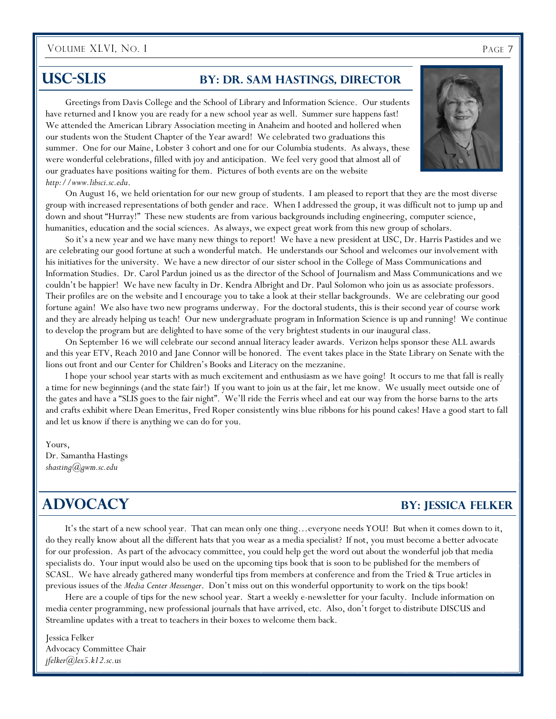## **USC-SLIS** BY: DR. SAM HASTINGS, DIRECTOR

 Greetings from Davis College and the School of Library and Information Science. Our students have returned and I know you are ready for a new school year as well. Summer sure happens fast! We attended the American Library Association meeting in Anaheim and hooted and hollered when our students won the Student Chapter of the Year award! We celebrated two graduations this summer. One for our Maine, Lobster 3 cohort and one for our Columbia students. As always, these were wonderful celebrations, filled with joy and anticipation. We feel very good that almost all of our graduates have positions waiting for them. Pictures of both events are on the website *http://www.libsci.sc.edu*.

 On August 16, we held orientation for our new group of students. I am pleased to report that they are the most diverse group with increased representations of both gender and race. When I addressed the group, it was difficult not to jump up and down and shout "Hurray!" These new students are from various backgrounds including engineering, computer science, humanities, education and the social sciences. As always, we expect great work from this new group of scholars.

 So it's a new year and we have many new things to report! We have a new president at USC, Dr. Harris Pastides and we are celebrating our good fortune at such a wonderful match. He understands our School and welcomes our involvement with his initiatives for the university. We have a new director of our sister school in the College of Mass Communications and Information Studies. Dr. Carol Pardun joined us as the director of the School of Journalism and Mass Communications and we couldn't be happier! We have new faculty in Dr. Kendra Albright and Dr. Paul Solomon who join us as associate professors. Their profiles are on the website and I encourage you to take a look at their stellar backgrounds. We are celebrating our good fortune again! We also have two new programs underway. For the doctoral students, this is their second year of course work and they are already helping us teach! Our new undergraduate program in Information Science is up and running! We continue to develop the program but are delighted to have some of the very brightest students in our inaugural class.

 On September 16 we will celebrate our second annual literacy leader awards. Verizon helps sponsor these ALL awards and this year ETV, Reach 2010 and Jane Connor will be honored. The event takes place in the State Library on Senate with the lions out front and our Center for Children's Books and Literacy on the mezzanine.

 I hope your school year starts with as much excitement and enthusiasm as we have going! It occurs to me that fall is really a time for new beginnings (and the state fair!) If you want to join us at the fair, let me know. We usually meet outside one of the gates and have a "SLIS goes to the fair night". We'll ride the Ferris wheel and eat our way from the horse barns to the arts and crafts exhibit where Dean Emeritus, Fred Roper consistently wins blue ribbons for his pound cakes! Have a good start to fall and let us know if there is anything we can do for you.

Yours,

Dr. Samantha Hastings *shasting@gwm.sc.edu* 

## **ADVOCACY** BY: JESSICA FELKER

 It's the start of a new school year. That can mean only one thing…everyone needs YOU! But when it comes down to it, do they really know about all the different hats that you wear as a media specialist? If not, you must become a better advocate for our profession. As part of the advocacy committee, you could help get the word out about the wonderful job that media specialists do. Your input would also be used on the upcoming tips book that is soon to be published for the members of SCASL. We have already gathered many wonderful tips from members at conference and from the Tried & True articles in previous issues of the *Media Center Messenger*. Don't miss out on this wonderful opportunity to work on the tips book!

 Here are a couple of tips for the new school year. Start a weekly e-newsletter for your faculty. Include information on media center programming, new professional journals that have arrived, etc. Also, don't forget to distribute DISCUS and Streamline updates with a treat to teachers in their boxes to welcome them back.

Jessica Felker Advocacy Committee Chair *jfelker@lex5.k12.sc.us* 

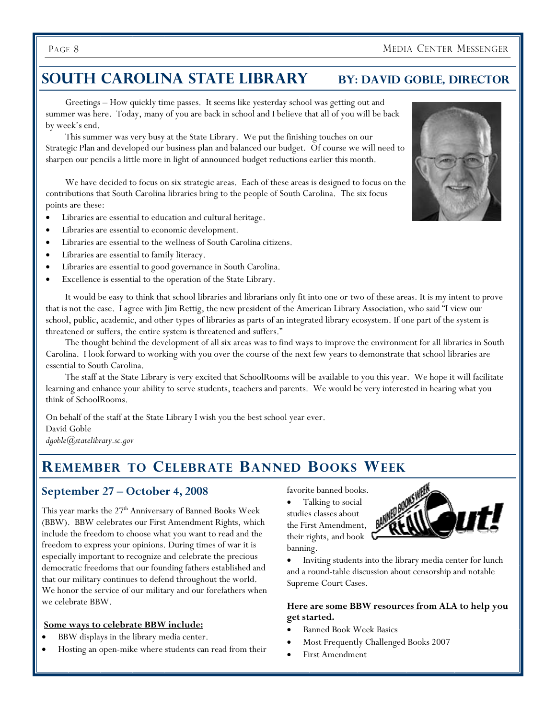## **SOUTH CAROLINA STATE LIBRARY BY: DAVID GOBLE, DIRECTOR**

 Greetings – How quickly time passes. It seems like yesterday school was getting out and summer was here. Today, many of you are back in school and I believe that all of you will be back by week's end.

 This summer was very busy at the State Library. We put the finishing touches on our Strategic Plan and developed our business plan and balanced our budget. Of course we will need to sharpen our pencils a little more in light of announced budget reductions earlier this month.

 We have decided to focus on six strategic areas. Each of these areas is designed to focus on the contributions that South Carolina libraries bring to the people of South Carolina. The six focus points are these:

- Libraries are essential to education and cultural heritage.
- Libraries are essential to economic development.
- Libraries are essential to the wellness of South Carolina citizens.
- Libraries are essential to family literacy.
- Libraries are essential to good governance in South Carolina.
- Excellence is essential to the operation of the State Library.

 It would be easy to think that school libraries and librarians only fit into one or two of these areas. It is my intent to prove that is not the case. I agree with Jim Rettig, the new president of the American Library Association, who said "I view our school, public, academic, and other types of libraries as parts of an integrated library ecosystem. If one part of the system is threatened or suffers, the entire system is threatened and suffers."

 The thought behind the development of all six areas was to find ways to improve the environment for all libraries in South Carolina. I look forward to working with you over the course of the next few years to demonstrate that school libraries are essential to South Carolina.

 The staff at the State Library is very excited that SchoolRooms will be available to you this year. We hope it will facilitate learning and enhance your ability to serve students, teachers and parents. We would be very interested in hearing what you think of SchoolRooms.

On behalf of the staff at the State Library I wish you the best school year ever. David Goble *dgoble@statelibrary.sc.gov* 

## **REMEMBER TO CELEBRATE BANNED BOOKS WEEK**

## **September 27 – October 4, 2008**

This year marks the 27<sup>th</sup> Anniversary of Banned Books Week (BBW). BBW celebrates our First Amendment Rights, which include the freedom to choose what you want to read and the freedom to express your opinions. During times of war it is especially important to recognize and celebrate the precious democratic freedoms that our founding fathers established and that our military continues to defend throughout the world. We honor the service of our military and our forefathers when we celebrate BBW.

#### **Some ways to celebrate BBW include:**

- BBW displays in the library media center.
- Hosting an open-mike where students can read from their

favorite banned books.

Talking to social studies classes about the First Amendment, their rights, and book banning.



• Inviting students into the library media center for lunch and a round-table discussion about censorship and notable Supreme Court Cases.

## **Here are some BBW resources from ALA to help you get started.**

- Banned Book Week Basics
- Most Frequently Challenged Books 2007
- First Amendment

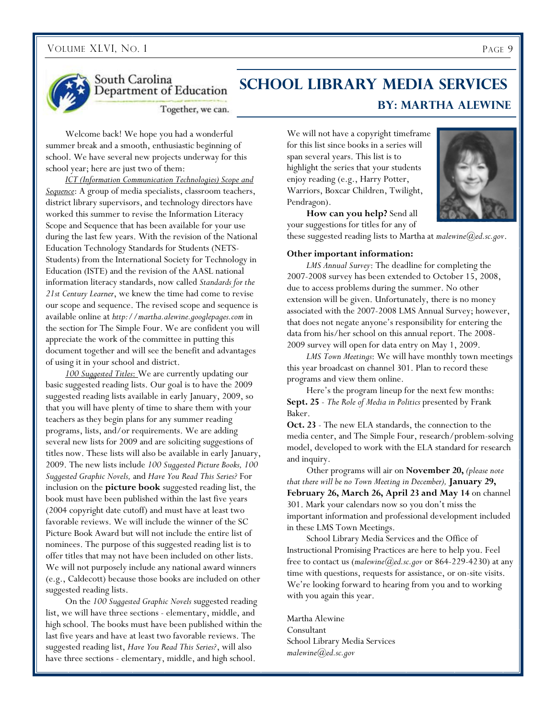

South Carolina Department of Education

## **School Library Media Services By: Martha Alewine**

Together, we can.

 Welcome back! We hope you had a wonderful summer break and a smooth, enthusiastic beginning of school. We have several new projects underway for this school year; here are just two of them:

*ICT (Information Communication Technologies) Scope and Sequence*: A group of media specialists, classroom teachers, district library supervisors, and technology directors have worked this summer to revise the Information Literacy Scope and Sequence that has been available for your use during the last few years. With the revision of the National Education Technology Standards for Students (NETS-Students) from the International Society for Technology in Education (ISTE) and the revision of the AASL national information literacy standards, now called *Standards for the 21st Century Learner*, we knew the time had come to revise our scope and sequence. The revised scope and sequence is available online at *http://martha.alewine.googlepages.com* in the section for The Simple Four. We are confident you will appreciate the work of the committee in putting this document together and will see the benefit and advantages of using it in your school and district.

*100 Suggested Titles*: We are currently updating our basic suggested reading lists. Our goal is to have the 2009 suggested reading lists available in early January, 2009, so that you will have plenty of time to share them with your teachers as they begin plans for any summer reading programs, lists, and/or requirements. We are adding several new lists for 2009 and are soliciting suggestions of titles now. These lists will also be available in early January, 2009. The new lists include *100 Suggested Picture Books, 100 Suggested Graphic Novels,* and *Have You Read This Series?* For inclusion on the **picture book** suggested reading list, the book must have been published within the last five years (2004 copyright date cutoff) and must have at least two favorable reviews. We will include the winner of the SC Picture Book Award but will not include the entire list of nominees. The purpose of this suggested reading list is to offer titles that may not have been included on other lists. We will not purposely include any national award winners (e.g., Caldecott) because those books are included on other suggested reading lists.

 On the *100 Suggested Graphic Novels* suggested reading list, we will have three sections - elementary, middle, and high school. The books must have been published within the last five years and have at least two favorable reviews. The suggested reading list, *Have You Read This Series?*, will also have three sections - elementary, middle, and high school.

We will not have a copyright timeframe for this list since books in a series will span several years. This list is to highlight the series that your students enjoy reading (e.g., Harry Potter, Warriors, Boxcar Children, Twilight, Pendragon).



 **How can you help?** Send all your suggestions for titles for any of

these suggested reading lists to Martha at *malewine@ed.sc.gov*.

#### **Other important information:**

*LMS Annual Survey*: The deadline for completing the 2007-2008 survey has been extended to October 15, 2008, due to access problems during the summer. No other extension will be given. Unfortunately, there is no money associated with the 2007-2008 LMS Annual Survey; however, that does not negate anyone's responsibility for entering the data from his/her school on this annual report. The 2008- 2009 survey will open for data entry on May 1, 2009.

*LMS Town Meetings*: We will have monthly town meetings this year broadcast on channel 301. Plan to record these programs and view them online.

 Here's the program lineup for the next few months: **Sept. 25** - *The Role of Media in Politics* presented by Frank Baker.

**Oct. 23** - The new ELA standards, the connection to the media center, and The Simple Four, research/problem-solving model, developed to work with the ELA standard for research and inquiry.

 Other programs will air on **November 20,** *(please note that there will be no Town Meeting in December),* **January 29, February 26, March 26, April 23 and May 14** on channel 301. Mark your calendars now so you don't miss the important information and professional development included in these LMS Town Meetings.

 School Library Media Services and the Office of Instructional Promising Practices are here to help you. Feel free to contact us (*malewine@ed.sc.gov* or 864-229-4230) at any time with questions, requests for assistance, or on-site visits. We're looking forward to hearing from you and to working with you again this year.

Martha Alewine Consultant School Library Media Services *malewine@ed.sc.gov*